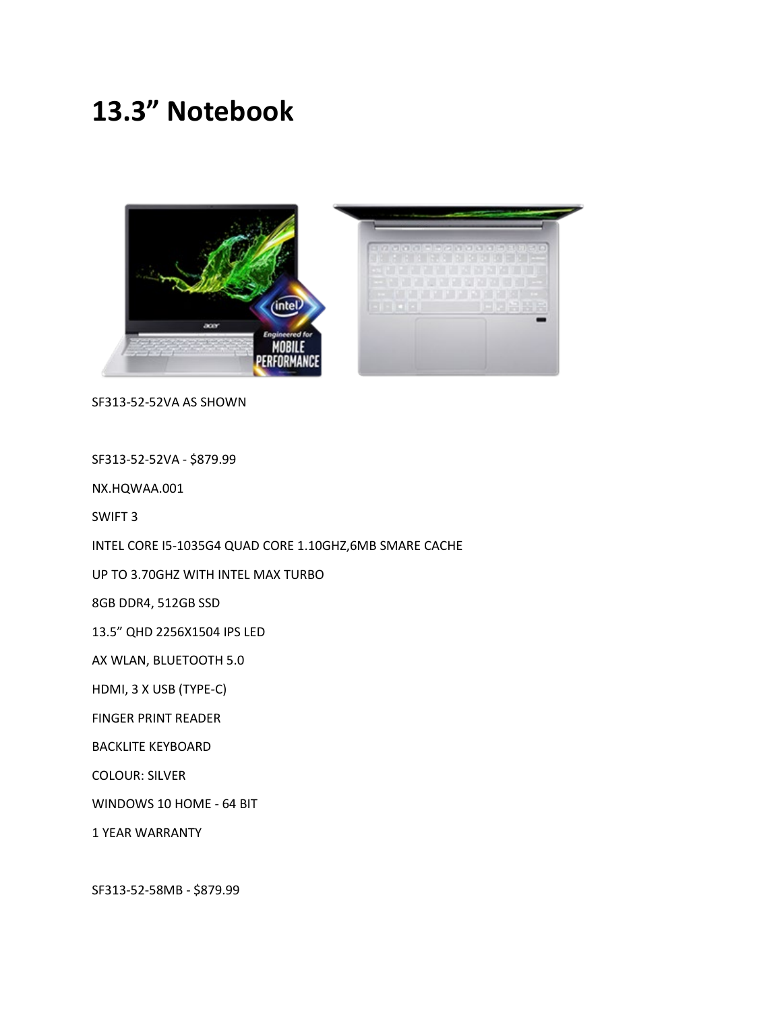## **13.3" Notebook**



SF313-52-52VA AS SHOWN

SF313-52-52VA - \$879.99

NX.HQWAA.001

SWIFT 3

INTEL CORE I5-1035G4 QUAD CORE 1.10GHZ,6MB SMARE CACHE

UP TO 3.70GHZ WITH INTEL MAX TURBO

8GB DDR4, 512GB SSD

13.5" QHD 2256X1504 IPS LED

AX WLAN, BLUETOOTH 5.0

HDMI, 3 X USB (TYPE-C)

FINGER PRINT READER

BACKLITE KEYBOARD

COLOUR: SILVER

WINDOWS 10 HOME - 64 BIT

1 YEAR WARRANTY

SF313-52-58MB - \$879.99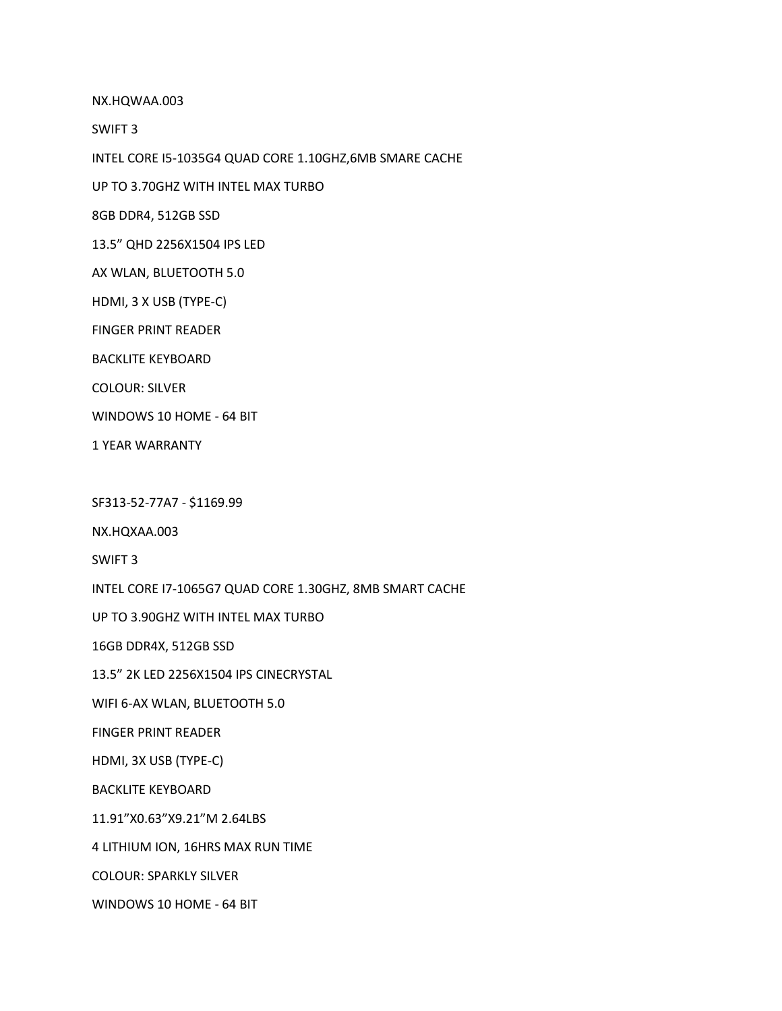NX.HQWAA.003

SWIFT 3

INTEL CORE I5-1035G4 QUAD CORE 1.10GHZ,6MB SMARE CACHE

UP TO 3.70GHZ WITH INTEL MAX TURBO

8GB DDR4, 512GB SSD

13.5" QHD 2256X1504 IPS LED

AX WLAN, BLUETOOTH 5.0

HDMI, 3 X USB (TYPE-C)

FINGER PRINT READER

BACKLITE KEYBOARD

COLOUR: SILVER

WINDOWS 10 HOME - 64 BIT

1 YEAR WARRANTY

SF313-52-77A7 - \$1169.99

NX.HQXAA.003

SWIFT 3

INTEL CORE I7-1065G7 QUAD CORE 1.30GHZ, 8MB SMART CACHE

UP TO 3.90GHZ WITH INTEL MAX TURBO

16GB DDR4X, 512GB SSD

13.5" 2K LED 2256X1504 IPS CINECRYSTAL

WIFI 6-AX WLAN, BLUETOOTH 5.0

FINGER PRINT READER

HDMI, 3X USB (TYPE-C)

BACKLITE KEYBOARD

11.91"X0.63"X9.21"M 2.64LBS

4 LITHIUM ION, 16HRS MAX RUN TIME

COLOUR: SPARKLY SILVER

WINDOWS 10 HOME - 64 BIT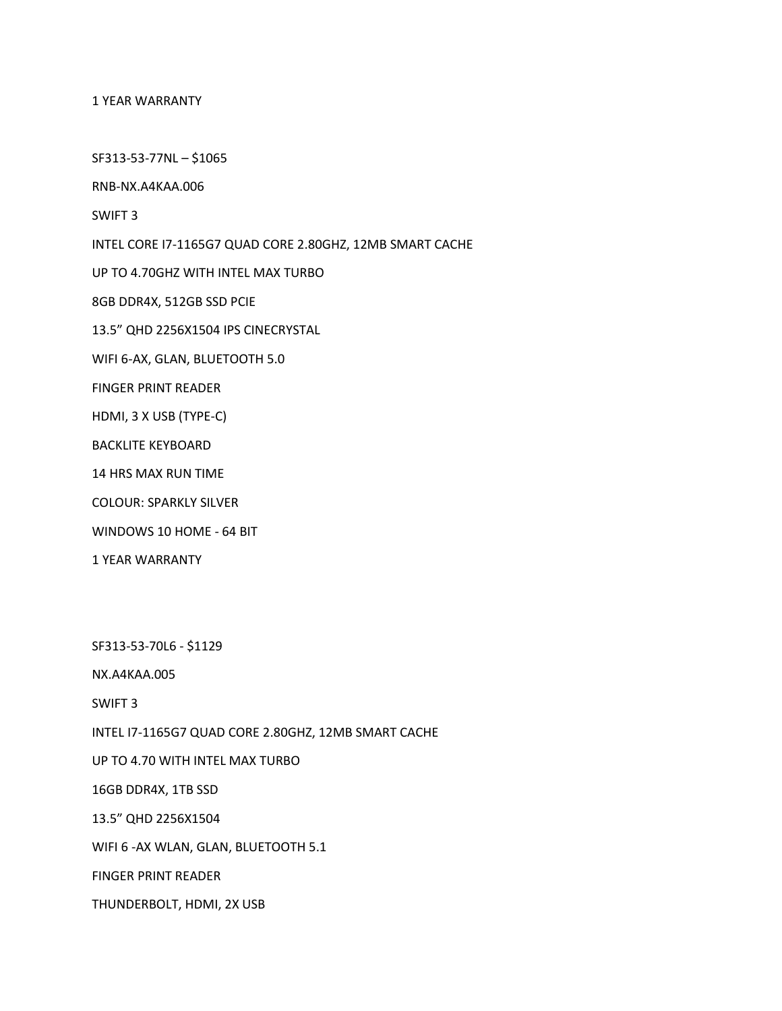1 YEAR WARRANTY

SF313-53-77NL – \$1065

RNB-NX.A4KAA.006

SWIFT 3

INTEL CORE I7-1165G7 QUAD CORE 2.80GHZ, 12MB SMART CACHE

UP TO 4.70GHZ WITH INTEL MAX TURBO

8GB DDR4X, 512GB SSD PCIE

13.5" QHD 2256X1504 IPS CINECRYSTAL

WIFI 6-AX, GLAN, BLUETOOTH 5.0

FINGER PRINT READER

HDMI, 3 X USB (TYPE-C)

BACKLITE KEYBOARD

14 HRS MAX RUN TIME

COLOUR: SPARKLY SILVER

WINDOWS 10 HOME - 64 BIT

1 YEAR WARRANTY

SF313-53-70L6 - \$1129

NX.A4KAA.005

SWIFT 3

INTEL I7-1165G7 QUAD CORE 2.80GHZ, 12MB SMART CACHE

UP TO 4.70 WITH INTEL MAX TURBO

16GB DDR4X, 1TB SSD

13.5" QHD 2256X1504

WIFI 6 -AX WLAN, GLAN, BLUETOOTH 5.1

FINGER PRINT READER

THUNDERBOLT, HDMI, 2X USB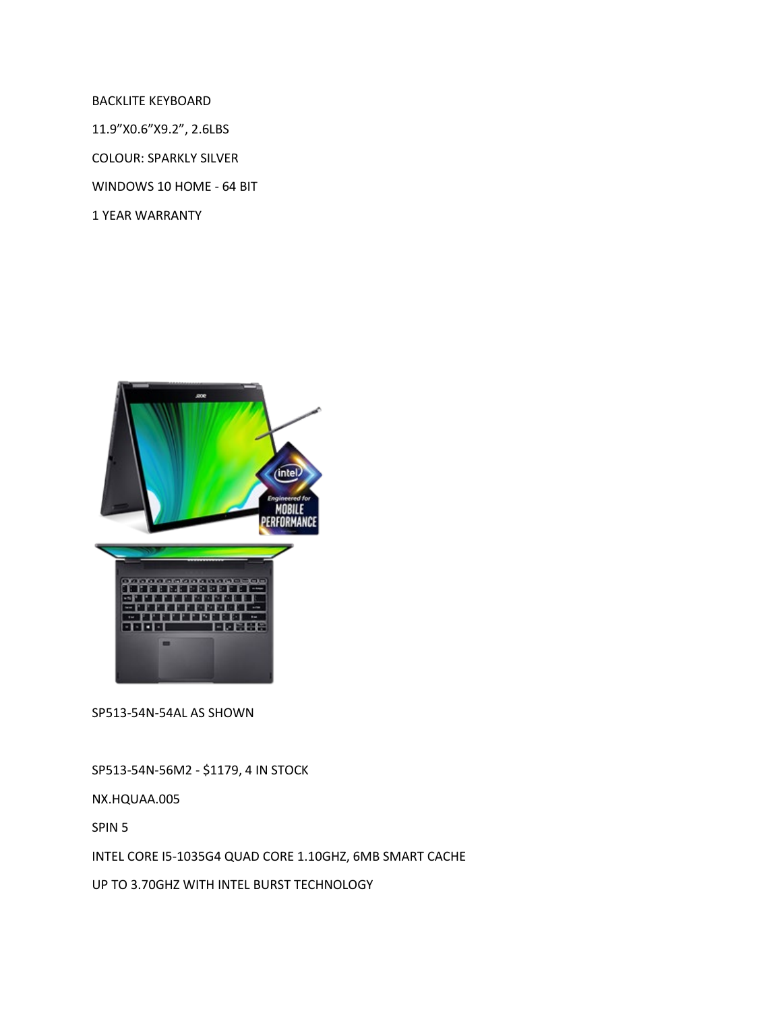BACKLITE KEYBOARD

11.9"X0.6"X9.2", 2.6LBS

COLOUR: SPARKLY SILVER

WINDOWS 10 HOME - 64 BIT

1 YEAR WARRANTY



SP513-54N-54AL AS SHOWN

SP513-54N-56M2 - \$1179, 4 IN STOCK

NX.HQUAA.005

SPIN 5

INTEL CORE I5-1035G4 QUAD CORE 1.10GHZ, 6MB SMART CACHE

UP TO 3.70GHZ WITH INTEL BURST TECHNOLOGY